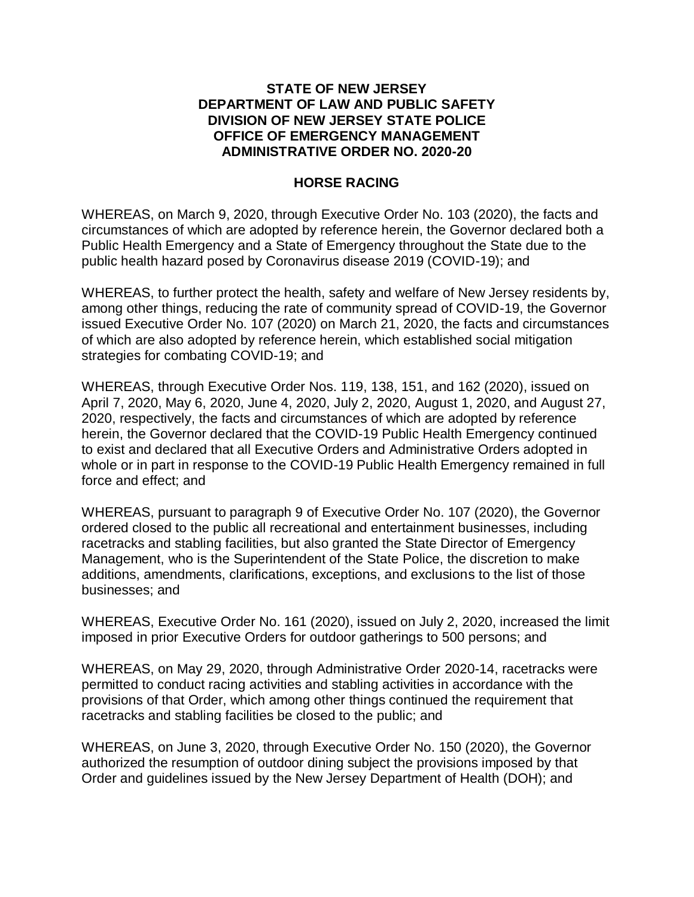## **STATE OF NEW JERSEY DEPARTMENT OF LAW AND PUBLIC SAFETY DIVISION OF NEW JERSEY STATE POLICE OFFICE OF EMERGENCY MANAGEMENT ADMINISTRATIVE ORDER NO. 2020-20**

## **HORSE RACING**

WHEREAS, on March 9, 2020, through Executive Order No. 103 (2020), the facts and circumstances of which are adopted by reference herein, the Governor declared both a Public Health Emergency and a State of Emergency throughout the State due to the public health hazard posed by Coronavirus disease 2019 (COVID-19); and

WHEREAS, to further protect the health, safety and welfare of New Jersey residents by, among other things, reducing the rate of community spread of COVID-19, the Governor issued Executive Order No. 107 (2020) on March 21, 2020, the facts and circumstances of which are also adopted by reference herein, which established social mitigation strategies for combating COVID-19; and

WHEREAS, through Executive Order Nos. 119, 138, 151, and 162 (2020), issued on April 7, 2020, May 6, 2020, June 4, 2020, July 2, 2020, August 1, 2020, and August 27, 2020, respectively, the facts and circumstances of which are adopted by reference herein, the Governor declared that the COVID-19 Public Health Emergency continued to exist and declared that all Executive Orders and Administrative Orders adopted in whole or in part in response to the COVID-19 Public Health Emergency remained in full force and effect; and

WHEREAS, pursuant to paragraph 9 of Executive Order No. 107 (2020), the Governor ordered closed to the public all recreational and entertainment businesses, including racetracks and stabling facilities, but also granted the State Director of Emergency Management, who is the Superintendent of the State Police, the discretion to make additions, amendments, clarifications, exceptions, and exclusions to the list of those businesses; and

WHEREAS, Executive Order No. 161 (2020), issued on July 2, 2020, increased the limit imposed in prior Executive Orders for outdoor gatherings to 500 persons; and

WHEREAS, on May 29, 2020, through Administrative Order 2020-14, racetracks were permitted to conduct racing activities and stabling activities in accordance with the provisions of that Order, which among other things continued the requirement that racetracks and stabling facilities be closed to the public; and

WHEREAS, on June 3, 2020, through Executive Order No. 150 (2020), the Governor authorized the resumption of outdoor dining subject the provisions imposed by that Order and guidelines issued by the New Jersey Department of Health (DOH); and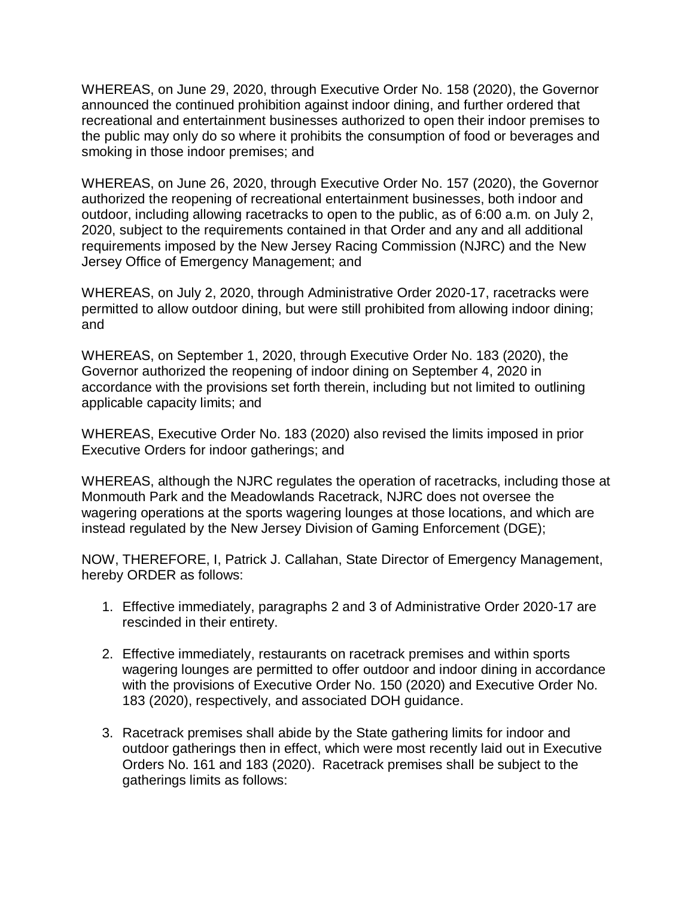WHEREAS, on June 29, 2020, through Executive Order No. 158 (2020), the Governor announced the continued prohibition against indoor dining, and further ordered that recreational and entertainment businesses authorized to open their indoor premises to the public may only do so where it prohibits the consumption of food or beverages and smoking in those indoor premises; and

WHEREAS, on June 26, 2020, through Executive Order No. 157 (2020), the Governor authorized the reopening of recreational entertainment businesses, both indoor and outdoor, including allowing racetracks to open to the public, as of 6:00 a.m. on July 2, 2020, subject to the requirements contained in that Order and any and all additional requirements imposed by the New Jersey Racing Commission (NJRC) and the New Jersey Office of Emergency Management; and

WHEREAS, on July 2, 2020, through Administrative Order 2020-17, racetracks were permitted to allow outdoor dining, but were still prohibited from allowing indoor dining; and

WHEREAS, on September 1, 2020, through Executive Order No. 183 (2020), the Governor authorized the reopening of indoor dining on September 4, 2020 in accordance with the provisions set forth therein, including but not limited to outlining applicable capacity limits; and

WHEREAS, Executive Order No. 183 (2020) also revised the limits imposed in prior Executive Orders for indoor gatherings; and

WHEREAS, although the NJRC regulates the operation of racetracks, including those at Monmouth Park and the Meadowlands Racetrack, NJRC does not oversee the wagering operations at the sports wagering lounges at those locations, and which are instead regulated by the New Jersey Division of Gaming Enforcement (DGE);

NOW, THEREFORE, I, Patrick J. Callahan, State Director of Emergency Management, hereby ORDER as follows:

- 1. Effective immediately, paragraphs 2 and 3 of Administrative Order 2020-17 are rescinded in their entirety.
- 2. Effective immediately, restaurants on racetrack premises and within sports wagering lounges are permitted to offer outdoor and indoor dining in accordance with the provisions of Executive Order No. 150 (2020) and Executive Order No. 183 (2020), respectively, and associated DOH guidance.
- 3. Racetrack premises shall abide by the State gathering limits for indoor and outdoor gatherings then in effect, which were most recently laid out in Executive Orders No. 161 and 183 (2020). Racetrack premises shall be subject to the gatherings limits as follows: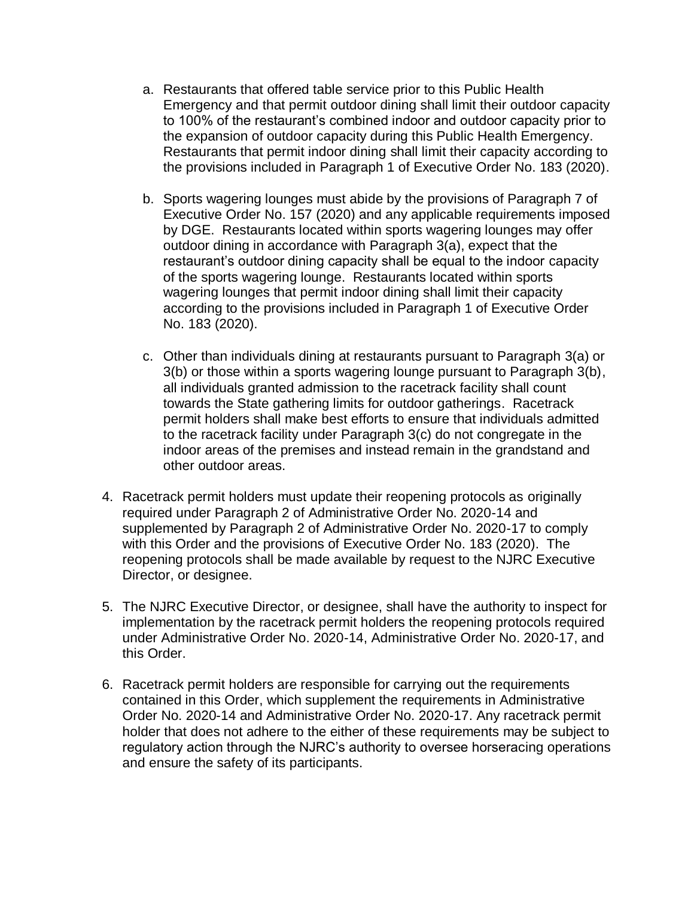- a. Restaurants that offered table service prior to this Public Health Emergency and that permit outdoor dining shall limit their outdoor capacity to 100% of the restaurant's combined indoor and outdoor capacity prior to the expansion of outdoor capacity during this Public Health Emergency. Restaurants that permit indoor dining shall limit their capacity according to the provisions included in Paragraph 1 of Executive Order No. 183 (2020).
- b. Sports wagering lounges must abide by the provisions of Paragraph 7 of Executive Order No. 157 (2020) and any applicable requirements imposed by DGE. Restaurants located within sports wagering lounges may offer outdoor dining in accordance with Paragraph 3(a), expect that the restaurant's outdoor dining capacity shall be equal to the indoor capacity of the sports wagering lounge. Restaurants located within sports wagering lounges that permit indoor dining shall limit their capacity according to the provisions included in Paragraph 1 of Executive Order No. 183 (2020).
- c. Other than individuals dining at restaurants pursuant to Paragraph 3(a) or 3(b) or those within a sports wagering lounge pursuant to Paragraph 3(b), all individuals granted admission to the racetrack facility shall count towards the State gathering limits for outdoor gatherings. Racetrack permit holders shall make best efforts to ensure that individuals admitted to the racetrack facility under Paragraph 3(c) do not congregate in the indoor areas of the premises and instead remain in the grandstand and other outdoor areas.
- 4. Racetrack permit holders must update their reopening protocols as originally required under Paragraph 2 of Administrative Order No. 2020-14 and supplemented by Paragraph 2 of Administrative Order No. 2020-17 to comply with this Order and the provisions of Executive Order No. 183 (2020). The reopening protocols shall be made available by request to the NJRC Executive Director, or designee.
- 5. The NJRC Executive Director, or designee, shall have the authority to inspect for implementation by the racetrack permit holders the reopening protocols required under Administrative Order No. 2020-14, Administrative Order No. 2020-17, and this Order.
- 6. Racetrack permit holders are responsible for carrying out the requirements contained in this Order, which supplement the requirements in Administrative Order No. 2020-14 and Administrative Order No. 2020-17. Any racetrack permit holder that does not adhere to the either of these requirements may be subject to regulatory action through the NJRC's authority to oversee horseracing operations and ensure the safety of its participants.